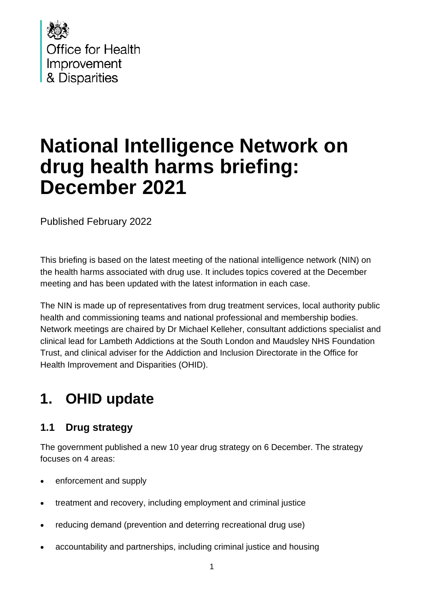

# **National Intelligence Network on drug health harms briefing: December 2021**

Published February 2022

This briefing is based on the latest meeting of the national intelligence network (NIN) on the health harms associated with drug use. It includes topics covered at the December meeting and has been updated with the latest information in each case.

The NIN is made up of representatives from drug treatment services, local authority public health and commissioning teams and national professional and membership bodies. Network meetings are chaired by Dr Michael Kelleher, consultant addictions specialist and clinical lead for Lambeth Addictions at the South London and Maudsley NHS Foundation Trust, and clinical adviser for the Addiction and Inclusion Directorate in the Office for Health Improvement and Disparities (OHID).

## **1. OHID update**

#### **1.1 Drug strategy**

The government published a new [10 year drug strategy](https://www.gov.uk/government/publications/from-harm-to-hope-a-10-year-drugs-plan-to-cut-crime-and-save-lives) on 6 December. The strategy focuses on 4 areas:

- enforcement and supply
- treatment and recovery, including employment and criminal justice
- reducing demand (prevention and deterring recreational drug use)
- accountability and partnerships, including criminal justice and housing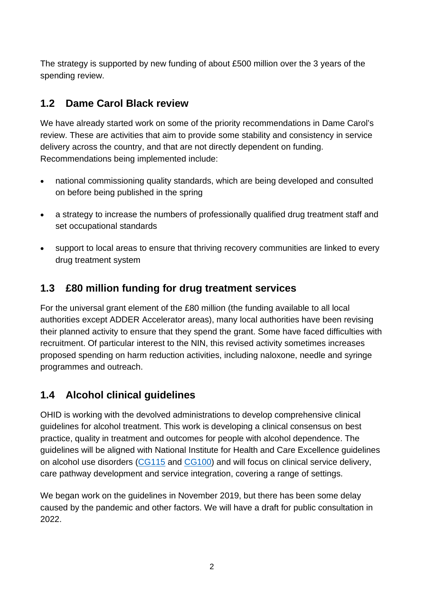The strategy is supported by new funding of about £500 million over the 3 years of the spending review.

### **1.2 Dame Carol Black review**

We have already started work on some of the priority recommendations in Dame Carol's review. These are activities that aim to provide some stability and consistency in service delivery across the country, and that are not directly dependent on funding. Recommendations being implemented include:

- national commissioning quality standards, which are being developed and consulted on before being published in the spring
- a strategy to increase the numbers of professionally qualified drug treatment staff and set occupational standards
- support to local areas to ensure that thriving recovery communities are linked to every drug treatment system

#### **1.3 £80 million funding for drug treatment services**

For the universal grant element of the £80 million (the funding available to all local authorities except ADDER Accelerator areas), many local authorities have been revising their planned activity to ensure that they spend the grant. Some have faced difficulties with recruitment. Of particular interest to the NIN, this revised activity sometimes increases proposed spending on harm reduction activities, including naloxone, needle and syringe programmes and outreach.

#### **1.4 Alcohol clinical guidelines**

OHID is working with the devolved administrations to develop comprehensive clinical guidelines for alcohol treatment. This work is developing a clinical consensus on best practice, quality in treatment and outcomes for people with alcohol dependence. The guidelines will be aligned with National Institute for Health and Care Excellence guidelines on alcohol use disorders [\(CG115](https://www.nice.org.uk/guidance/cg115) and [CG100\)](https://www.nice.org.uk/guidance/cg100) and will focus on clinical service delivery, care pathway development and service integration, covering a range of settings.

We began work on the guidelines in November 2019, but there has been some delay caused by the pandemic and other factors. We will have a draft for public consultation in 2022.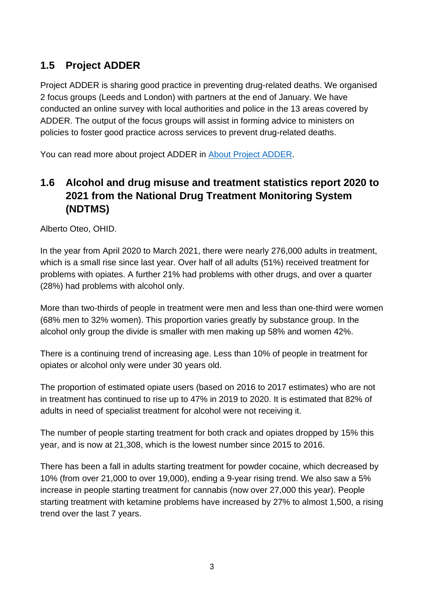### **1.5 Project ADDER**

Project ADDER is sharing good practice in preventing drug-related deaths. We organised 2 focus groups (Leeds and London) with partners at the end of January. We have conducted an online survey with local authorities and police in the 13 areas covered by ADDER. The output of the focus groups will assist in forming advice to ministers on policies to foster good practice across services to prevent drug-related deaths.

You can read more about project ADDER in [About Project ADDER.](https://www.gov.uk/government/publications/project-adder/about-project-adder)

### **1.6 Alcohol and drug misuse and treatment statistics report 2020 to 2021 from the National Drug Treatment Monitoring System (NDTMS)**

Alberto Oteo, OHID.

In the year from April 2020 to March 2021, there were nearly 276,000 adults in treatment, which is a small rise since last year. Over half of all adults (51%) received treatment for problems with opiates. A further 21% had problems with other drugs, and over a quarter (28%) had problems with alcohol only.

More than two-thirds of people in treatment were men and less than one-third were women (68% men to 32% women). This proportion varies greatly by substance group. In the alcohol only group the divide is smaller with men making up 58% and women 42%.

There is a continuing trend of increasing age. Less than 10% of people in treatment for opiates or alcohol only were under 30 years old.

The proportion of estimated opiate users (based on 2016 to 2017 estimates) who are not in treatment has continued to rise up to 47% in 2019 to 2020. It is estimated that 82% of adults in need of specialist treatment for alcohol were not receiving it.

The number of people starting treatment for both crack and opiates dropped by 15% this year, and is now at 21,308, which is the lowest number since 2015 to 2016.

There has been a fall in adults starting treatment for powder cocaine, which decreased by 10% (from over 21,000 to over 19,000), ending a 9-year rising trend. We also saw a 5% increase in people starting treatment for cannabis (now over 27,000 this year). People starting treatment with ketamine problems have increased by 27% to almost 1,500, a rising trend over the last 7 years.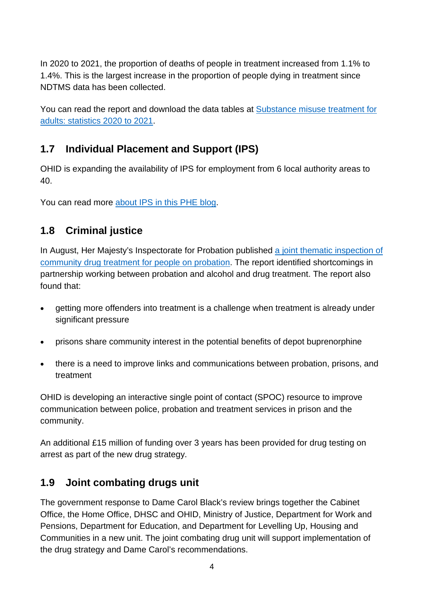In 2020 to 2021, the proportion of deaths of people in treatment increased from 1.1% to 1.4%. This is the largest increase in the proportion of people dying in treatment since NDTMS data has been collected.

You can read the report and download the data tables at [Substance misuse treatment for](https://www.gov.uk/government/statistics/substance-misuse-treatment-for-adults-statistics-2020-to-2021)  [adults: statistics 2020 to 2021.](https://www.gov.uk/government/statistics/substance-misuse-treatment-for-adults-statistics-2020-to-2021)

#### **1.7 Individual Placement and Support (IPS)**

OHID is expanding the availability of IPS for employment from 6 local authority areas to 40.

You can read more [about IPS in this PHE blog.](https://ukhsa.blog.gov.uk/2019/03/27/supporting-people-from-substance-misuse-treatment-into-employment/)

#### **1.8 Criminal justice**

In August, Her Majesty's Inspectorate for Probation published a joint thematic inspection of [community drug treatment for people on probation.](https://www.justiceinspectorates.gov.uk/hmiprobation/inspections/drug-treatment/) The report identified shortcomings in partnership working between probation and alcohol and drug treatment. The report also found that:

- getting more offenders into treatment is a challenge when treatment is already under significant pressure
- prisons share community interest in the potential benefits of depot buprenorphine
- there is a need to improve links and communications between probation, prisons, and treatment

OHID is developing an interactive single point of contact (SPOC) resource to improve communication between police, probation and treatment services in prison and the community.

An additional £15 million of funding over 3 years has been provided for drug testing on arrest as part of the new drug strategy.

#### **1.9 Joint combating drugs unit**

The government response to Dame Carol Black's review brings together the Cabinet Office, the Home Office, DHSC and OHID, Ministry of Justice, Department for Work and Pensions, Department for Education, and Department for Levelling Up, Housing and Communities in a new unit. The joint combating drug unit will support implementation of the drug strategy and Dame Carol's recommendations.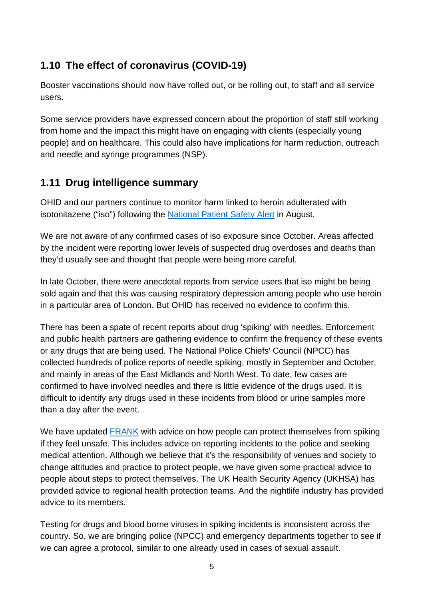### **1.10 The effect of coronavirus (COVID-19)**

Booster vaccinations should now have rolled out, or be rolling out, to staff and all service users.

Some service providers have expressed concern about the proportion of staff still working from home and the impact this might have on engaging with clients (especially young people) and on healthcare. This could also have implications for harm reduction, outreach and needle and syringe programmes (NSP).

#### **1.11 Drug intelligence summary**

OHID and our partners continue to monitor harm linked to heroin adulterated with isotonitazene ("iso") following the [National Patient Safety Alert](https://www.cas.mhra.gov.uk/ViewandAcknowledgment/ViewAlert.aspx?AlertID=103167) in August.

We are not aware of any confirmed cases of iso exposure since October. Areas affected by the incident were reporting lower levels of suspected drug overdoses and deaths than they'd usually see and thought that people were being more careful.

In late October, there were anecdotal reports from service users that iso might be being sold again and that this was causing respiratory depression among people who use heroin in a particular area of London. But OHID has received no evidence to confirm this.

There has been a spate of recent reports about drug 'spiking' with needles. Enforcement and public health partners are gathering evidence to confirm the frequency of these events or any drugs that are being used. The National Police Chiefs' Council (NPCC) has collected hundreds of police reports of needle spiking, mostly in September and October, and mainly in areas of the East Midlands and North West. To date, few cases are confirmed to have involved needles and there is little evidence of the drugs used. It is difficult to identify any drugs used in these incidents from blood or urine samples more than a day after the event.

We have updated **FRANK** with advice on how people can protect themselves from spiking if they feel unsafe. This includes advice on reporting incidents to the police and seeking medical attention. Although we believe that it's the responsibility of venues and society to change attitudes and practice to protect people, we have given some practical advice to people about steps to protect themselves. The UK Health Security Agency (UKHSA) has provided advice to regional health protection teams. And the nightlife industry has provided advice to its members.

Testing for drugs and blood borne viruses in spiking incidents is inconsistent across the country. So, we are bringing police (NPCC) and emergency departments together to see if we can agree a protocol, similar to one already used in cases of sexual assault.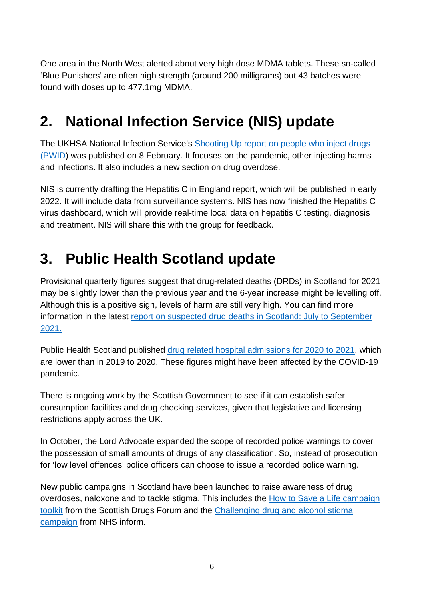One area in the North West alerted about very high dose MDMA tablets. These so-called 'Blue Punishers' are often high strength (around 200 milligrams) but 43 batches were found with doses up to 477.1mg MDMA.

## **2. National Infection Service (NIS) update**

The UKHSA National Infection Service's Shooting Up report on people who inject drugs [\(PWID\)](https://www.gov.uk/government/publications/shooting-up-infections-among-people-who-inject-drugs-in-the-uk) was published on 8 February. It focuses on the pandemic, other injecting harms and infections. It also includes a new section on drug overdose.

NIS is currently drafting the Hepatitis C in England report, which will be published in early 2022. It will include data from surveillance systems. NIS has now finished the Hepatitis C virus dashboard, which will provide real-time local data on hepatitis C testing, diagnosis and treatment. NIS will share this with the group for feedback.

### **3. Public Health Scotland update**

Provisional quarterly figures suggest that drug-related deaths (DRDs) in Scotland for 2021 may be slightly lower than the previous year and the 6-year increase might be levelling off. Although this is a positive sign, levels of harm are still very high. You can find more information in the latest [report on suspected drug deaths in Scotland: July to September](https://www.gov.scot/publications/suspected-drug-deaths-scotland-july-september-2021/)  [2021.](https://www.gov.scot/publications/suspected-drug-deaths-scotland-july-september-2021/)

Public Health Scotland published [drug related hospital admissions for 2020 to 2021,](https://publichealthscotland.scot/publications/drug-related-hospital-statistics/drug-related-hospital-statistics-scotland-2020-to-2021/summary/) which are lower than in 2019 to 2020. These figures might have been affected by the COVID-19 pandemic.

There is ongoing work by the Scottish Government to see if it can establish safer consumption facilities and drug checking services, given that legislative and licensing restrictions apply across the UK.

In October, the Lord Advocate expanded the scope of recorded police warnings to cover the possession of small amounts of drugs of any classification. So, instead of prosecution for 'low level offences' police officers can choose to issue a recorded police warning.

New public campaigns in Scotland have been launched to raise awareness of drug overdoses, naloxone and to tackle stigma. This includes the [How to Save a Life campaign](https://www.sdf.org.uk/how-to-save-a-life-campaign-toolkit/)  [toolkit](https://www.sdf.org.uk/how-to-save-a-life-campaign-toolkit/) from the Scottish Drugs Forum and the [Challenging drug and alcohol stigma](https://www.nhsinform.scot/stigma)  [campaign](https://www.nhsinform.scot/stigma) from NHS inform.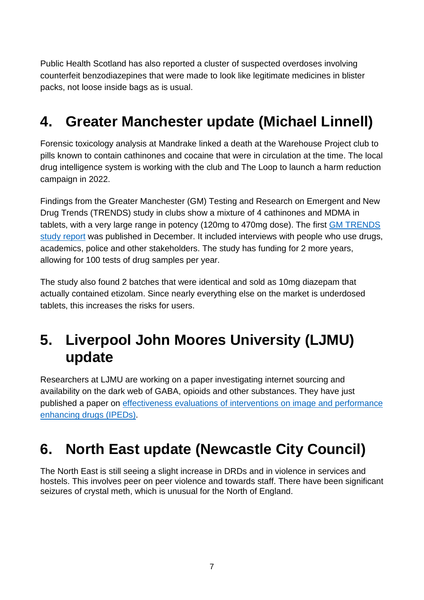Public Health Scotland has also reported a cluster of suspected overdoses involving counterfeit benzodiazepines that were made to look like legitimate medicines in blister packs, not loose inside bags as is usual.

## **4. Greater Manchester update (Michael Linnell)**

Forensic toxicology analysis at Mandrake linked a death at the Warehouse Project club to pills known to contain cathinones and cocaine that were in circulation at the time. The local drug intelligence system is working with the club and The Loop to launch a harm reduction campaign in 2022.

Findings from the Greater Manchester (GM) Testing and Research on Emergent and New Drug Trends (TRENDS) study in clubs show a mixture of 4 cathinones and MDMA in tablets, with a very large range in potency (120mg to 470mg dose). The first [GM TRENDS](https://gmtrends.mmu.ac.uk/)  [study report](https://gmtrends.mmu.ac.uk/) was published in December. It included interviews with people who use drugs, academics, police and other stakeholders. The study has funding for 2 more years, allowing for 100 tests of drug samples per year.

The study also found 2 batches that were identical and sold as 10mg diazepam that actually contained etizolam. Since nearly everything else on the market is underdosed tablets, this increases the risks for users.

### **5. Liverpool John Moores University (LJMU) update**

Researchers at LJMU are working on a paper investigating internet sourcing and availability on the dark web of GABA, opioids and other substances. They have just published a paper on [effectiveness evaluations of interventions on image and performance](https://harmreductionjournal.biomedcentral.com/articles/10.1186/s12954-021-00550-z)  [enhancing drugs \(IPEDs\)](https://harmreductionjournal.biomedcentral.com/articles/10.1186/s12954-021-00550-z).

## **6. North East update (Newcastle City Council)**

The North East is still seeing a slight increase in DRDs and in violence in services and hostels. This involves peer on peer violence and towards staff. There have been significant seizures of crystal meth, which is unusual for the North of England.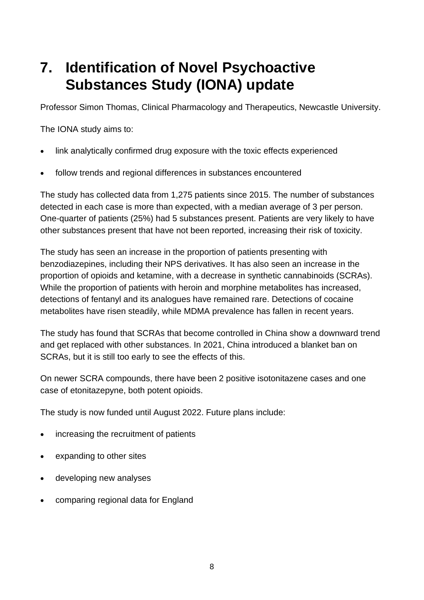### **7. Identification of Novel Psychoactive Substances Study (IONA) update**

Professor Simon Thomas, Clinical Pharmacology and Therapeutics, Newcastle University.

The IONA study aims to:

- link analytically confirmed drug exposure with the toxic effects experienced
- follow trends and regional differences in substances encountered

The study has collected data from 1,275 patients since 2015. The number of substances detected in each case is more than expected, with a median average of 3 per person. One-quarter of patients (25%) had 5 substances present. Patients are very likely to have other substances present that have not been reported, increasing their risk of toxicity.

The study has seen an increase in the proportion of patients presenting with benzodiazepines, including their NPS derivatives. It has also seen an increase in the proportion of opioids and ketamine, with a decrease in synthetic cannabinoids (SCRAs). While the proportion of patients with heroin and morphine metabolites has increased, detections of fentanyl and its analogues have remained rare. Detections of cocaine metabolites have risen steadily, while MDMA prevalence has fallen in recent years.

The study has found that SCRAs that become controlled in China show a downward trend and get replaced with other substances. In 2021, China introduced a blanket ban on SCRAs, but it is still too early to see the effects of this.

On newer SCRA compounds, there have been 2 positive isotonitazene cases and one case of etonitazepyne, both potent opioids.

The study is now funded until August 2022. Future plans include:

- increasing the recruitment of patients
- expanding to other sites
- developing new analyses
- comparing regional data for England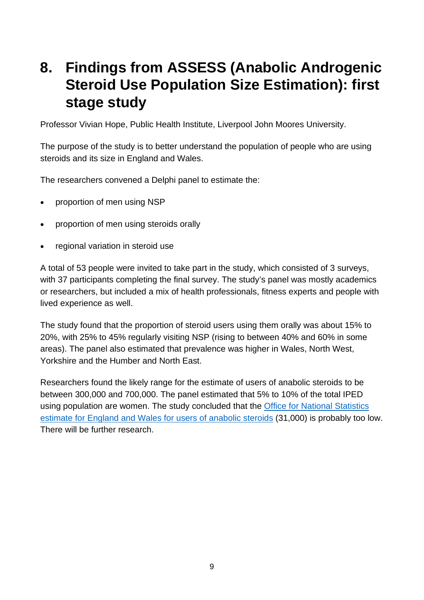### **8. Findings from ASSESS (Anabolic Androgenic Steroid Use Population Size Estimation): first stage study**

Professor Vivian Hope, Public Health Institute, Liverpool John Moores University.

The purpose of the study is to better understand the population of people who are using steroids and its size in England and Wales.

The researchers convened a Delphi panel to estimate the:

- proportion of men using NSP
- proportion of men using steroids orally
- regional variation in steroid use

A total of 53 people were invited to take part in the study, which consisted of 3 surveys, with 37 participants completing the final survey. The study's panel was mostly academics or researchers, but included a mix of health professionals, fitness experts and people with lived experience as well.

The study found that the proportion of steroid users using them orally was about 15% to 20%, with 25% to 45% regularly visiting NSP (rising to between 40% and 60% in some areas). The panel also estimated that prevalence was higher in Wales, North West, Yorkshire and the Humber and North East.

Researchers found the likely range for the estimate of users of anabolic steroids to be between 300,000 and 700,000. The panel estimated that 5% to 10% of the total IPED using population are women. The study concluded that the [Office for National Statistics](https://www.ons.gov.uk/peoplepopulationandcommunity/crimeandjustice/articles/drugmisuseinenglandandwales/yearendingmarch2020)  [estimate for England and Wales for users of anabolic steroids](https://www.ons.gov.uk/peoplepopulationandcommunity/crimeandjustice/articles/drugmisuseinenglandandwales/yearendingmarch2020) (31,000) is probably too low. There will be further research.